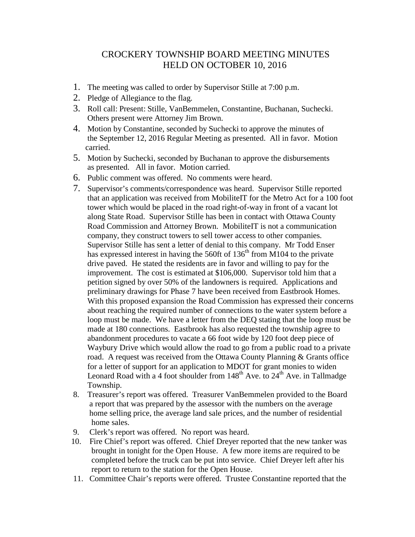## CROCKERY TOWNSHIP BOARD MEETING MINUTES HELD ON OCTOBER 10, 2016

- 1. The meeting was called to order by Supervisor Stille at 7:00 p.m.
- 2. Pledge of Allegiance to the flag.
- 3. Roll call: Present: Stille, VanBemmelen, Constantine, Buchanan, Suchecki. Others present were Attorney Jim Brown.
- 4. Motion by Constantine, seconded by Suchecki to approve the minutes of the September 12, 2016 Regular Meeting as presented. All in favor. Motion carried.
- 5. Motion by Suchecki, seconded by Buchanan to approve the disbursements as presented. All in favor. Motion carried.
- 6. Public comment was offered. No comments were heard.
- 7. Supervisor's comments/correspondence was heard. Supervisor Stille reported that an application was received from MobiliteIT for the Metro Act for a 100 foot tower which would be placed in the road right-of-way in front of a vacant lot along State Road. Supervisor Stille has been in contact with Ottawa County Road Commission and Attorney Brown. MobiliteIT is not a communication company, they construct towers to sell tower access to other companies. Supervisor Stille has sent a letter of denial to this company. Mr Todd Enser has expressed interest in having the 560ft of  $136<sup>th</sup>$  from M104 to the private drive paved. He stated the residents are in favor and willing to pay for the improvement. The cost is estimated at \$106,000. Supervisor told him that a petition signed by over 50% of the landowners is required. Applications and preliminary drawings for Phase 7 have been received from Eastbrook Homes. With this proposed expansion the Road Commission has expressed their concerns about reaching the required number of connections to the water system before a loop must be made. We have a letter from the DEQ stating that the loop must be made at 180 connections. Eastbrook has also requested the township agree to abandonment procedures to vacate a 66 foot wide by 120 foot deep piece of Waybury Drive which would allow the road to go from a public road to a private road. A request was received from the Ottawa County Planning & Grants office for a letter of support for an application to MDOT for grant monies to widen Leonard Road with a 4 foot shoulder from  $148<sup>th</sup>$  Ave. to  $24<sup>th</sup>$  Ave. in Tallmadge Township.
- 8. Treasurer's report was offered. Treasurer VanBemmelen provided to the Board a report that was prepared by the assessor with the numbers on the average home selling price, the average land sale prices, and the number of residential home sales.
- 9. Clerk's report was offered. No report was heard.
- 10. Fire Chief's report was offered. Chief Dreyer reported that the new tanker was brought in tonight for the Open House. A few more items are required to be completed before the truck can be put into service. Chief Dreyer left after his report to return to the station for the Open House.
- 11. Committee Chair's reports were offered. Trustee Constantine reported that the